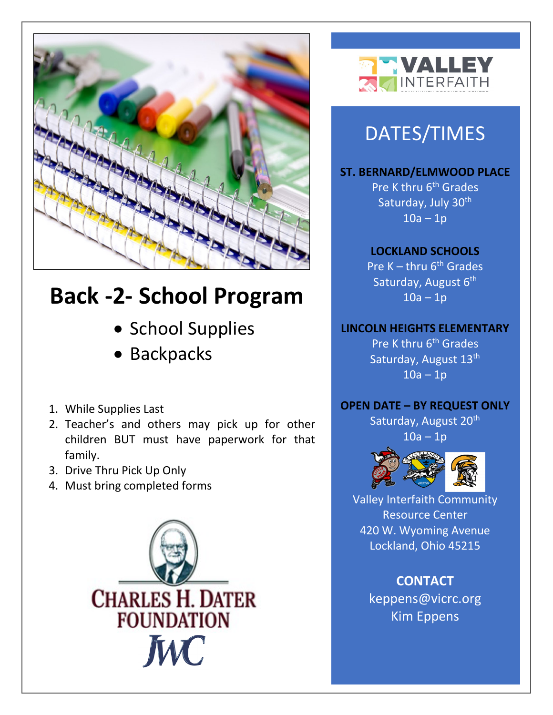

# **Back -2- School Program**

- School Supplies
- Backpacks
- 1. While Supplies Last
- 2. Teacher's and others may pick up for other children BUT must have paperwork for that family.
- 3. Drive Thru Pick Up Only
- 4. Must bring completed forms





## DATES/TIMES

**ST. BERNARD/ELMWOOD PLACE** Pre K thru 6<sup>th</sup> Grades Saturday, July 30<sup>th</sup>  $10a - 1p$ 

#### **LOCKLAND SCHOOLS**

Pre  $K - thru 6<sup>th</sup> Grades$ Saturday, August 6<sup>th</sup>  $10a - 1p$ 

#### **LINCOLN HEIGHTS ELEMENTARY**

Pre K thru 6<sup>th</sup> Grades Saturday, August 13<sup>th</sup>  $10a - 1p$ 

#### **OPEN DATE – BY REQUEST ONLY**

Saturday, August 20<sup>th</sup>  $10a - 1p$ 



Valley Interfaith Community Resource Center 420 W. Wyoming Avenue Lockland, Ohio 45215

> **CONTACT** keppens@vicrc.org Kim Eppens